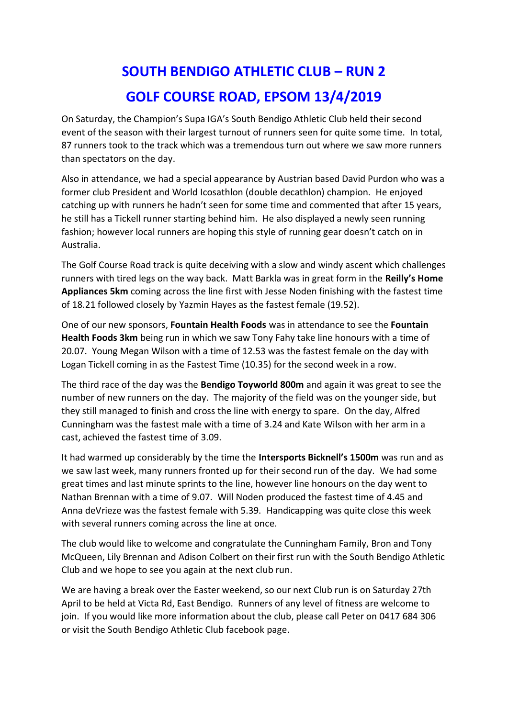## **SOUTH BENDIGO ATHLETIC CLUB – RUN 2 GOLF COURSE ROAD, EPSOM 13/4/2019**

On Saturday, the Champion's Supa IGA's South Bendigo Athletic Club held their second event of the season with their largest turnout of runners seen for quite some time. In total, 87 runners took to the track which was a tremendous turn out where we saw more runners than spectators on the day.

Also in attendance, we had a special appearance by Austrian based David Purdon who was a former club President and World Icosathlon (double decathlon) champion. He enjoyed catching up with runners he hadn't seen for some time and commented that after 15 years, he still has a Tickell runner starting behind him. He also displayed a newly seen running fashion; however local runners are hoping this style of running gear doesn't catch on in Australia.

The Golf Course Road track is quite deceiving with a slow and windy ascent which challenges runners with tired legs on the way back. Matt Barkla was in great form in the **Reilly's Home Appliances 5km** coming across the line first with Jesse Noden finishing with the fastest time of 18.21 followed closely by Yazmin Hayes as the fastest female (19.52).

One of our new sponsors, **Fountain Health Foods** was in attendance to see the **Fountain Health Foods 3km** being run in which we saw Tony Fahy take line honours with a time of 20.07. Young Megan Wilson with a time of 12.53 was the fastest female on the day with Logan Tickell coming in as the Fastest Time (10.35) for the second week in a row.

The third race of the day was the **Bendigo Toyworld 800m** and again it was great to see the number of new runners on the day. The majority of the field was on the younger side, but they still managed to finish and cross the line with energy to spare. On the day, Alfred Cunningham was the fastest male with a time of 3.24 and Kate Wilson with her arm in a cast, achieved the fastest time of 3.09.

It had warmed up considerably by the time the **Intersports Bicknell's 1500m** was run and as we saw last week, many runners fronted up for their second run of the day. We had some great times and last minute sprints to the line, however line honours on the day went to Nathan Brennan with a time of 9.07. Will Noden produced the fastest time of 4.45 and Anna deVrieze was the fastest female with 5.39. Handicapping was quite close this week with several runners coming across the line at once.

The club would like to welcome and congratulate the Cunningham Family, Bron and Tony McQueen, Lily Brennan and Adison Colbert on their first run with the South Bendigo Athletic Club and we hope to see you again at the next club run.

We are having a break over the Easter weekend, so our next Club run is on Saturday 27th April to be held at Victa Rd, East Bendigo. Runners of any level of fitness are welcome to join. If you would like more information about the club, please call Peter on 0417 684 306 or visit the South Bendigo Athletic Club facebook page.